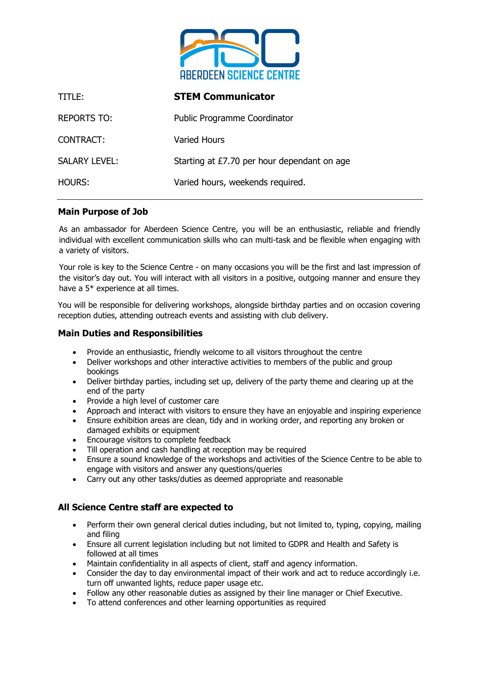

| TITLE:               | <b>STEM Communicator</b>                    |
|----------------------|---------------------------------------------|
| <b>REPORTS TO:</b>   | <b>Public Programme Coordinator</b>         |
| <b>CONTRACT:</b>     | Varied Hours                                |
| <b>SALARY LEVEL:</b> | Starting at £7.70 per hour dependant on age |
| <b>HOURS:</b>        | Varied hours, weekends required.            |

# **Main Purpose of Job**

As an ambassador for Aberdeen Science Centre, you will be an enthusiastic, reliable and friendly individual with excellent communication skills who can multi-task and be flexible when engaging with a variety of visitors.

Your role is key to the Science Centre - on many occasions you will be the first and last impression of the visitor's day out. You will interact with all visitors in a positive, outgoing manner and ensure they have a 5\* experience at all times.

You will be responsible for delivering workshops, alongside birthday parties and on occasion covering reception duties, attending outreach events and assisting with club delivery.

# **Main Duties and Responsibilities**

- Provide an enthusiastic, friendly welcome to all visitors throughout the centre
- Deliver workshops and other interactive activities to members of the public and group bookings
- Deliver birthday parties, including set up, delivery of the party theme and clearing up at the end of the party
- Provide a high level of customer care
- Approach and interact with visitors to ensure they have an enjoyable and inspiring experience
- Ensure exhibition areas are clean, tidy and in working order, and reporting any broken or damaged exhibits or equipment
- Encourage visitors to complete feedback
- Till operation and cash handling at reception may be required
- Ensure a sound knowledge of the workshops and activities of the Science Centre to be able to engage with visitors and answer any questions/queries
- Carry out any other tasks/duties as deemed appropriate and reasonable

# **All Science Centre staff are expected to**

- Perform their own general clerical duties including, but not limited to, typing, copying, mailing and filing
- Ensure all current legislation including but not limited to GDPR and Health and Safety is followed at all times
- Maintain confidentiality in all aspects of client, staff and agency information.
- Consider the day to day environmental impact of their work and act to reduce accordingly i.e. turn off unwanted lights, reduce paper usage etc.
- Follow any other reasonable duties as assigned by their line manager or Chief Executive.
- To attend conferences and other learning opportunities as required